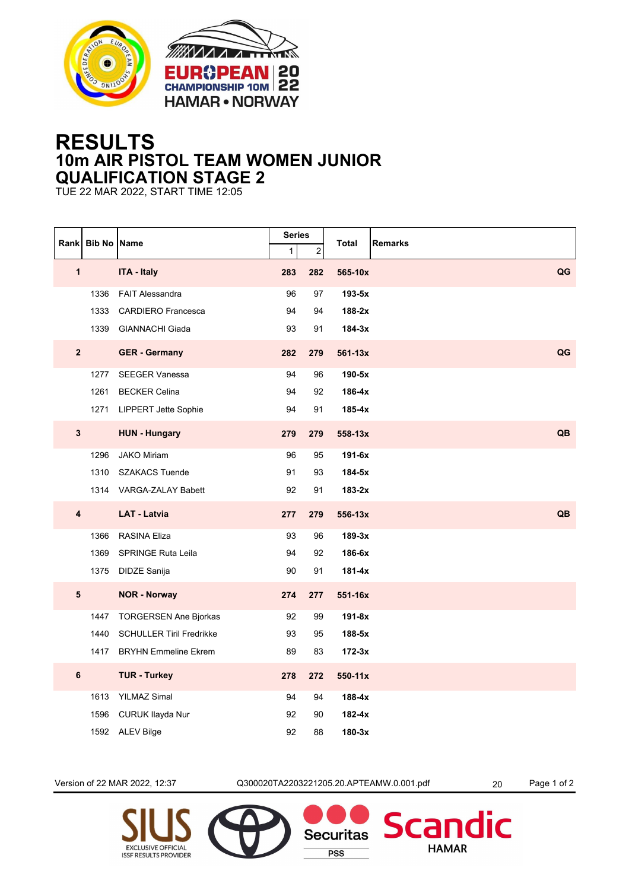



## **RESULTS 10m AIR PISTOL TEAM WOMEN JUNIOR QUALIFICATION STAGE 2**

TUE 22 MAR 2022, START TIME 12:05

|                         | Rank Bib No Name |                                 | <b>Series</b> |                | Remarks<br>Total |    |
|-------------------------|------------------|---------------------------------|---------------|----------------|------------------|----|
|                         |                  |                                 | $\mathbf{1}$  | $\overline{c}$ |                  |    |
| $\mathbf{1}$            |                  | <b>ITA - Italy</b>              | 283           | 282            | 565-10x          | QG |
|                         | 1336             | <b>FAIT Alessandra</b>          | 96            | 97             | $193-5x$         |    |
|                         | 1333             | <b>CARDIERO Francesca</b>       | 94            | 94             | 188-2x           |    |
|                         | 1339             | <b>GIANNACHI Giada</b>          | 93            | 91             | $184-3x$         |    |
| $\overline{2}$          |                  | <b>GER - Germany</b>            | 282           | 279            | 561-13x          | QG |
|                         | 1277             | <b>SEEGER Vanessa</b>           | 94            | 96             | 190-5x           |    |
|                         | 1261             | <b>BECKER Celina</b>            | 94            | 92             | 186-4x           |    |
|                         | 1271             | <b>LIPPERT Jette Sophie</b>     | 94            | 91             | 185-4x           |    |
| 3                       |                  | <b>HUN - Hungary</b>            | 279           | 279            | 558-13x          | QB |
|                         | 1296             | <b>JAKO Miriam</b>              | 96            | 95             | 191-6x           |    |
|                         | 1310             | <b>SZAKACS Tuende</b>           | 91            | 93             | 184-5x           |    |
|                         |                  | 1314 VARGA-ZALAY Babett         | 92            | 91             | $183-2x$         |    |
| $\overline{\mathbf{4}}$ |                  | <b>LAT - Latvia</b>             | 277           | 279            | 556-13x          | QB |
|                         | 1366             | <b>RASINA Eliza</b>             | 93            | 96             | $189-3x$         |    |
|                         | 1369             | <b>SPRINGE Ruta Leila</b>       | 94            | 92             | 186-6x           |    |
|                         | 1375             | DIDZE Sanija                    | 90            | 91             | 181-4x           |    |
| ${\bf 5}$               |                  | <b>NOR - Norway</b>             | 274           | 277            | 551-16x          |    |
|                         | 1447             | <b>TORGERSEN Ane Bjorkas</b>    | 92            | 99             | $191-8x$         |    |
|                         | 1440             | <b>SCHULLER Tiril Fredrikke</b> | 93            | 95             | 188-5x           |    |
|                         | 1417             | <b>BRYHN Emmeline Ekrem</b>     | 89            | 83             | $172-3x$         |    |
| $\bf 6$                 |                  | <b>TUR - Turkey</b>             | 278           | 272            | 550-11x          |    |
|                         | 1613             | <b>YILMAZ Simal</b>             | 94            | 94             | 188-4x           |    |
|                         | 1596             | CURUK Ilayda Nur                | 92            | 90             | 182-4x           |    |
|                         | 1592             | <b>ALEV Bilge</b>               | 92            | 88             | $180-3x$         |    |

Version of 22 MAR 2022, 12:37 Q300020TA2203221205.20.APTEAMW.0.001.pdf 20 Page 1 of 2

**Securitas** 

**PSS** 

dic

Scan

**HAMAR**